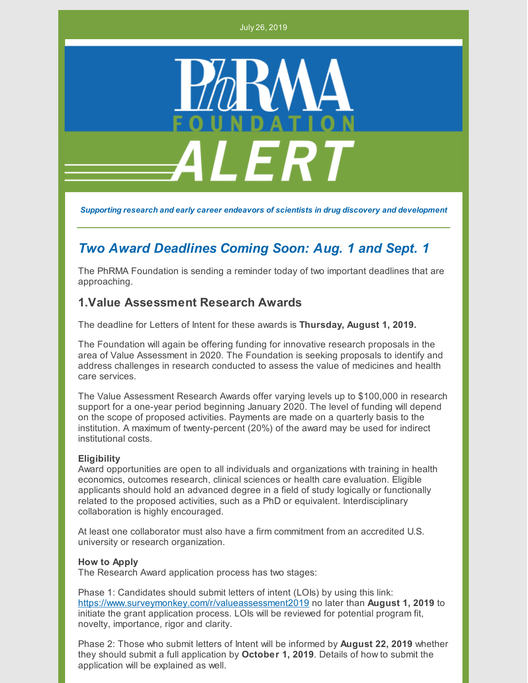July 26, 2019



*Supporting research and early career endeavors of scientists in drug discovery and development*

# *Two Award Deadlines Coming Soon: Aug. 1 and Sept. 1*

The PhRMA Foundation is sending a reminder today of two important deadlines that are approaching.

### **1.Value Assessment Research Awards**

The deadline for Letters of Intent for these awards is **Thursday, August 1, 2019.**

The Foundation will again be offering funding for innovative research proposals in the area of Value Assessment in 2020. The Foundation is seeking proposals to identify and address challenges in research conducted to assess the value of medicines and health care services.

The Value Assessment Research Awards offer varying levels up to \$100,000 in research support for a one-year period beginning January 2020. The level of funding will depend on the scope of proposed activities. Payments are made on a quarterly basis to the institution. A maximum of twenty-percent (20%) of the award may be used for indirect institutional costs.

#### **Eligibility**

Award opportunities are open to all individuals and organizations with training in health economics, outcomes research, clinical sciences or health care evaluation. Eligible applicants should hold an advanced degree in a field of study logically or functionally related to the proposed activities, such as a PhD or equivalent. Interdisciplinary collaboration is highly encouraged.

At least one collaborator must also have a firm commitment from an accredited U.S. university or research organization.

#### **How to Apply**

The Research Award application process has two stages:

Phase 1: Candidates should submit letters of intent (LOIs) by using this link: <https://www.surveymonkey.com/r/valueassessment2019> no later than **August 1, 2019** to initiate the grant application process. LOIs will be reviewed for potential program fit, novelty, importance, rigor and clarity.

Phase 2: Those who submit letters of Intent will be informed by **August 22, 2019** whether they should submit a full application by **October 1, 2019**. Details of how to submit the application will be explained as well.